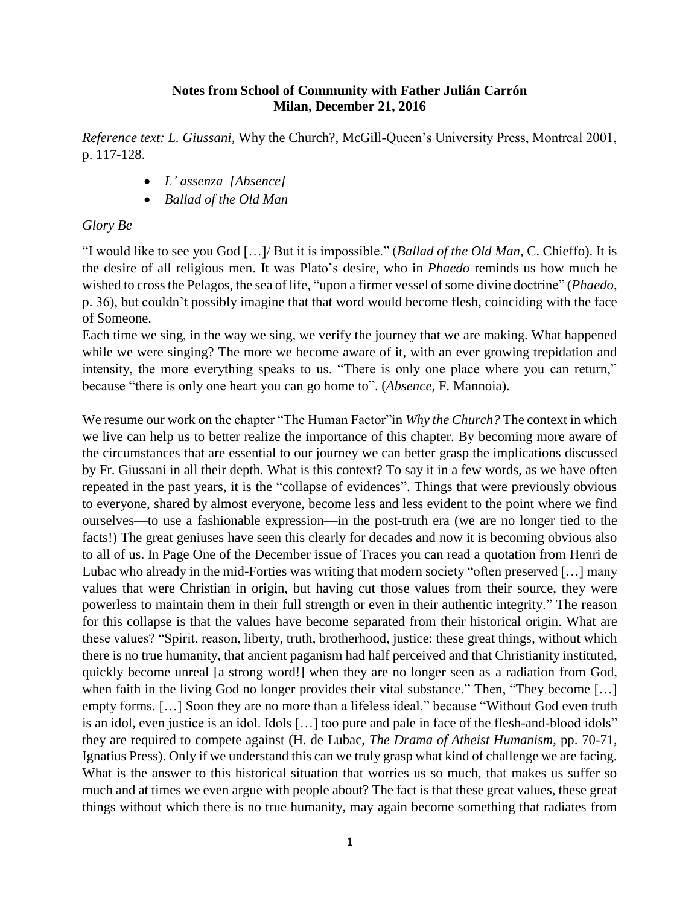### **Notes from School of Community with Father Julián Carrón Milan, December 21, 2016**

*Reference text: L. Giussani,* Why the Church?, McGill-Queen's University Press, Montreal 2001, p. 117-128.

- *L' assenza [Absence]*
- *Ballad of the Old Man*

## *Glory Be*

"I would like to see you God […]/ But it is impossible." (*Ballad of the Old Man*, C. Chieffo). It is the desire of all religious men. It was Plato's desire, who in *Phaedo* reminds us how much he wished to cross the Pelagos, the sea of life, "upon a firmer vessel of some divine doctrine" (*Phaedo*, p. 36), but couldn't possibly imagine that that word would become flesh, coinciding with the face of Someone.

Each time we sing, in the way we sing, we verify the journey that we are making. What happened while we were singing? The more we become aware of it, with an ever growing trepidation and intensity, the more everything speaks to us. "There is only one place where you can return," because "there is only one heart you can go home to". (*Absence*, F. Mannoia).

We resume our work on the chapter "The Human Factor"in *Why the Church?* The context in which we live can help us to better realize the importance of this chapter. By becoming more aware of the circumstances that are essential to our journey we can better grasp the implications discussed by Fr. Giussani in all their depth. What is this context? To say it in a few words, as we have often repeated in the past years, it is the "collapse of evidences". Things that were previously obvious to everyone, shared by almost everyone, become less and less evident to the point where we find ourselves—to use a fashionable expression—in the post-truth era (we are no longer tied to the facts!) The great geniuses have seen this clearly for decades and now it is becoming obvious also to all of us. In Page One of the December issue of Traces you can read a quotation from Henri de Lubac who already in the mid-Forties was writing that modern society "often preserved […] many values that were Christian in origin, but having cut those values from their source, they were powerless to maintain them in their full strength or even in their authentic integrity." The reason for this collapse is that the values have become separated from their historical origin. What are these values? "Spirit, reason, liberty, truth, brotherhood, justice: these great things, without which there is no true humanity, that ancient paganism had half perceived and that Christianity instituted, quickly become unreal [a strong word!] when they are no longer seen as a radiation from God, when faith in the living God no longer provides their vital substance." Then, "They become [...] empty forms. […] Soon they are no more than a lifeless ideal," because "Without God even truth is an idol, even justice is an idol. Idols […] too pure and pale in face of the flesh-and-blood idols" they are required to compete against (H. de Lubac, *The Drama of Atheist Humanism,* pp. 70-71, Ignatius Press). Only if we understand this can we truly grasp what kind of challenge we are facing. What is the answer to this historical situation that worries us so much, that makes us suffer so much and at times we even argue with people about? The fact is that these great values, these great things without which there is no true humanity, may again become something that radiates from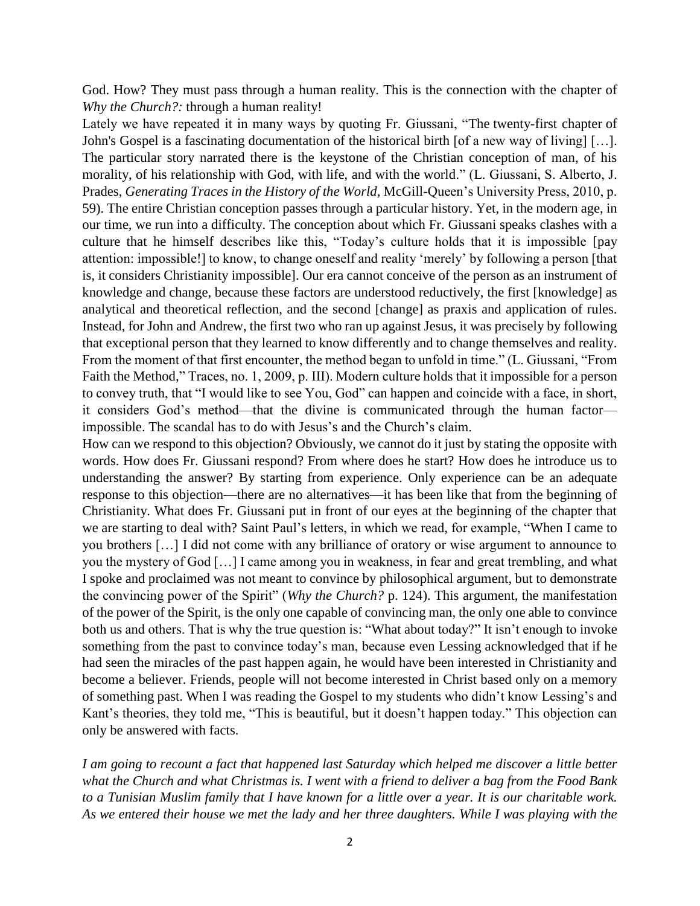God. How? They must pass through a human reality. This is the connection with the chapter of *Why the Church?:* through a human reality!

Lately we have repeated it in many ways by quoting Fr. Giussani, "The twenty-first chapter of John's Gospel is a fascinating documentation of the historical birth [of a new way of living] […]. The particular story narrated there is the keystone of the Christian conception of man, of his morality, of his relationship with God, with life, and with the world." (L. Giussani, S. Alberto, J. Prades, *Generating Traces in the History of the World,* McGill-Queen's University Press, 2010, p. 59). The entire Christian conception passes through a particular history. Yet, in the modern age, in our time, we run into a difficulty. The conception about which Fr. Giussani speaks clashes with a culture that he himself describes like this, "Today's culture holds that it is impossible [pay attention: impossible!] to know, to change oneself and reality 'merely' by following a person [that is, it considers Christianity impossible]. Our era cannot conceive of the person as an instrument of knowledge and change, because these factors are understood reductively, the first [knowledge] as analytical and theoretical reflection, and the second [change] as praxis and application of rules. Instead, for John and Andrew, the first two who ran up against Jesus, it was precisely by following that exceptional person that they learned to know differently and to change themselves and reality. From the moment of that first encounter, the method began to unfold in time." (L. Giussani, "From Faith the Method," Traces, no. 1, 2009, p. III). Modern culture holds that it impossible for a person to convey truth, that "I would like to see You, God" can happen and coincide with a face, in short, it considers God's method—that the divine is communicated through the human factor impossible. The scandal has to do with Jesus's and the Church's claim.

How can we respond to this objection? Obviously, we cannot do it just by stating the opposite with words. How does Fr. Giussani respond? From where does he start? How does he introduce us to understanding the answer? By starting from experience. Only experience can be an adequate response to this objection—there are no alternatives—it has been like that from the beginning of Christianity. What does Fr. Giussani put in front of our eyes at the beginning of the chapter that we are starting to deal with? Saint Paul's letters, in which we read, for example, "When I came to you brothers […] I did not come with any brilliance of oratory or wise argument to announce to you the mystery of God […] I came among you in weakness, in fear and great trembling, and what I spoke and proclaimed was not meant to convince by philosophical argument, but to demonstrate the convincing power of the Spirit" (*Why the Church?* p. 124). This argument, the manifestation of the power of the Spirit, is the only one capable of convincing man, the only one able to convince both us and others. That is why the true question is: "What about today?" It isn't enough to invoke something from the past to convince today's man, because even Lessing acknowledged that if he had seen the miracles of the past happen again, he would have been interested in Christianity and become a believer. Friends, people will not become interested in Christ based only on a memory of something past. When I was reading the Gospel to my students who didn't know Lessing's and Kant's theories, they told me, "This is beautiful, but it doesn't happen today." This objection can only be answered with facts.

*I am going to recount a fact that happened last Saturday which helped me discover a little better what the Church and what Christmas is. I went with a friend to deliver a bag from the Food Bank to a Tunisian Muslim family that I have known for a little over a year. It is our charitable work. As we entered their house we met the lady and her three daughters. While I was playing with the*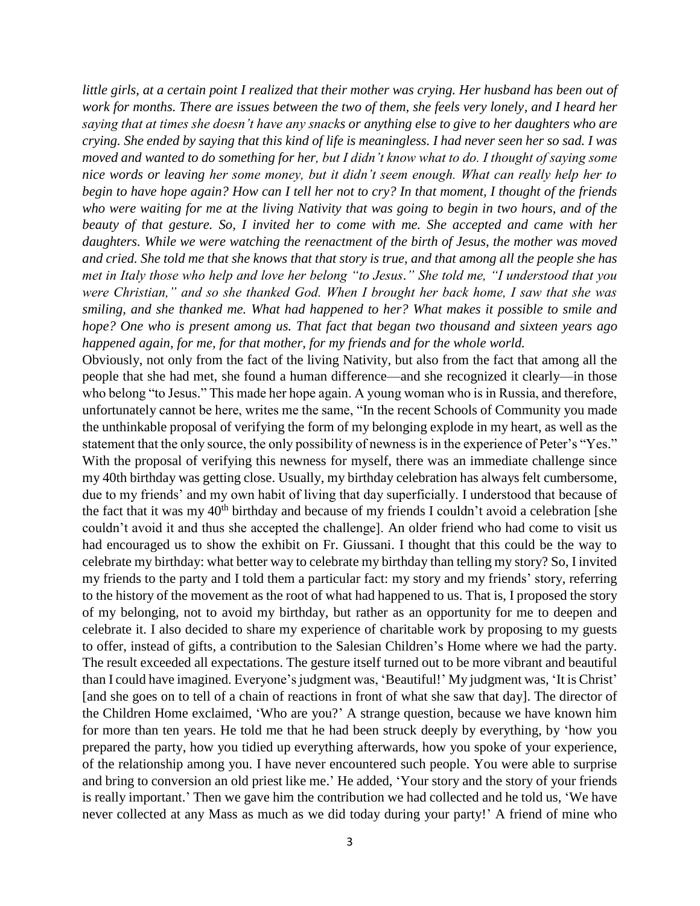*little girls, at a certain point I realized that their mother was crying. Her husband has been out of work for months. There are issues between the two of them, she feels very lonely, and I heard her saying that at times she doesn't have any snacks or anything else to give to her daughters who are crying. She ended by saying that this kind of life is meaningless. I had never seen her so sad. I was moved and wanted to do something for her, but I didn't know what to do. I thought of saying some nice words or leaving her some money, but it didn't seem enough. What can really help her to begin to have hope again? How can I tell her not to cry? In that moment, I thought of the friends who were waiting for me at the living Nativity that was going to begin in two hours, and of the beauty of that gesture. So, I invited her to come with me. She accepted and came with her daughters. While we were watching the reenactment of the birth of Jesus, the mother was moved and cried. She told me that she knows that that story is true, and that among all the people she has met in Italy those who help and love her belong "to Jesus." She told me, "I understood that you were Christian," and so she thanked God. When I brought her back home, I saw that she was smiling, and she thanked me. What had happened to her? What makes it possible to smile and hope? One who is present among us. That fact that began two thousand and sixteen years ago happened again, for me, for that mother, for my friends and for the whole world.*

Obviously, not only from the fact of the living Nativity, but also from the fact that among all the people that she had met, she found a human difference—and she recognized it clearly—in those who belong "to Jesus." This made her hope again. A young woman who is in Russia, and therefore, unfortunately cannot be here, writes me the same, "In the recent Schools of Community you made the unthinkable proposal of verifying the form of my belonging explode in my heart, as well as the statement that the only source, the only possibility of newness is in the experience of Peter's "Yes." With the proposal of verifying this newness for myself, there was an immediate challenge since my 40th birthday was getting close. Usually, my birthday celebration has always felt cumbersome, due to my friends' and my own habit of living that day superficially. I understood that because of the fact that it was my 40<sup>th</sup> birthday and because of my friends I couldn't avoid a celebration [she couldn't avoid it and thus she accepted the challenge]. An older friend who had come to visit us had encouraged us to show the exhibit on Fr. Giussani. I thought that this could be the way to celebrate my birthday: what better way to celebrate my birthday than telling my story? So, I invited my friends to the party and I told them a particular fact: my story and my friends' story, referring to the history of the movement as the root of what had happened to us. That is, I proposed the story of my belonging, not to avoid my birthday, but rather as an opportunity for me to deepen and celebrate it. I also decided to share my experience of charitable work by proposing to my guests to offer, instead of gifts, a contribution to the Salesian Children's Home where we had the party. The result exceeded all expectations. The gesture itself turned out to be more vibrant and beautiful than I could have imagined. Everyone's judgment was, 'Beautiful!' My judgment was, 'It is Christ' [and she goes on to tell of a chain of reactions in front of what she saw that day]. The director of the Children Home exclaimed, 'Who are you?' A strange question, because we have known him for more than ten years. He told me that he had been struck deeply by everything, by 'how you prepared the party, how you tidied up everything afterwards, how you spoke of your experience, of the relationship among you. I have never encountered such people. You were able to surprise and bring to conversion an old priest like me.' He added, 'Your story and the story of your friends is really important.' Then we gave him the contribution we had collected and he told us, 'We have never collected at any Mass as much as we did today during your party!' A friend of mine who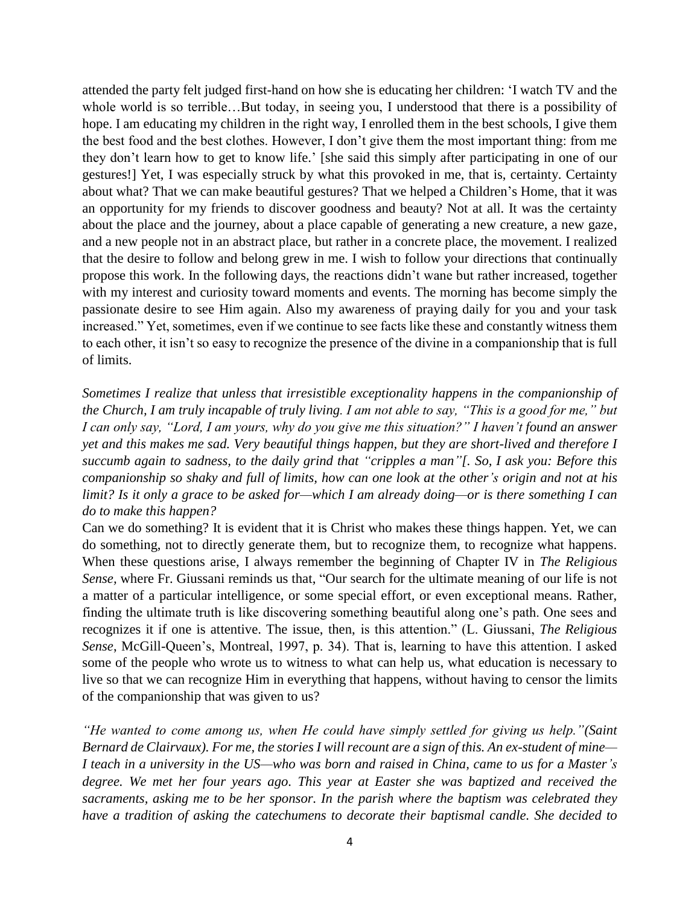attended the party felt judged first-hand on how she is educating her children: 'I watch TV and the whole world is so terrible…But today, in seeing you, I understood that there is a possibility of hope. I am educating my children in the right way, I enrolled them in the best schools, I give them the best food and the best clothes. However, I don't give them the most important thing: from me they don't learn how to get to know life.' [she said this simply after participating in one of our gestures!] Yet, I was especially struck by what this provoked in me, that is, certainty. Certainty about what? That we can make beautiful gestures? That we helped a Children's Home, that it was an opportunity for my friends to discover goodness and beauty? Not at all. It was the certainty about the place and the journey, about a place capable of generating a new creature, a new gaze, and a new people not in an abstract place, but rather in a concrete place, the movement. I realized that the desire to follow and belong grew in me. I wish to follow your directions that continually propose this work. In the following days, the reactions didn't wane but rather increased, together with my interest and curiosity toward moments and events. The morning has become simply the passionate desire to see Him again. Also my awareness of praying daily for you and your task increased." Yet, sometimes, even if we continue to see facts like these and constantly witness them to each other, it isn't so easy to recognize the presence of the divine in a companionship that is full of limits.

*Sometimes I realize that unless that irresistible exceptionality happens in the companionship of the Church, I am truly incapable of truly living. I am not able to say, "This is a good for me," but I can only say, "Lord, I am yours, why do you give me this situation?" I haven't found an answer yet and this makes me sad. Very beautiful things happen, but they are short-lived and therefore I succumb again to sadness, to the daily grind that "cripples a man"[. So, I ask you: Before this companionship so shaky and full of limits, how can one look at the other's origin and not at his limit? Is it only a grace to be asked for—which I am already doing—or is there something I can do to make this happen?*

Can we do something? It is evident that it is Christ who makes these things happen. Yet, we can do something, not to directly generate them, but to recognize them, to recognize what happens. When these questions arise, I always remember the beginning of Chapter IV in *The Religious Sense,* where Fr. Giussani reminds us that, "Our search for the ultimate meaning of our life is not a matter of a particular intelligence, or some special effort, or even exceptional means. Rather, finding the ultimate truth is like discovering something beautiful along one's path. One sees and recognizes it if one is attentive. The issue, then, is this attention." (L. Giussani, *The Religious Sense*, McGill-Queen's, Montreal, 1997, p. 34). That is, learning to have this attention. I asked some of the people who wrote us to witness to what can help us, what education is necessary to live so that we can recognize Him in everything that happens, without having to censor the limits of the companionship that was given to us?

*"He wanted to come among us, when He could have simply settled for giving us help."(Saint Bernard de Clairvaux). For me, the stories I will recount are a sign of this. An ex-student of mine— I teach in a university in the US—who was born and raised in China, came to us for a Master's degree. We met her four years ago. This year at Easter she was baptized and received the sacraments, asking me to be her sponsor. In the parish where the baptism was celebrated they have a tradition of asking the catechumens to decorate their baptismal candle. She decided to*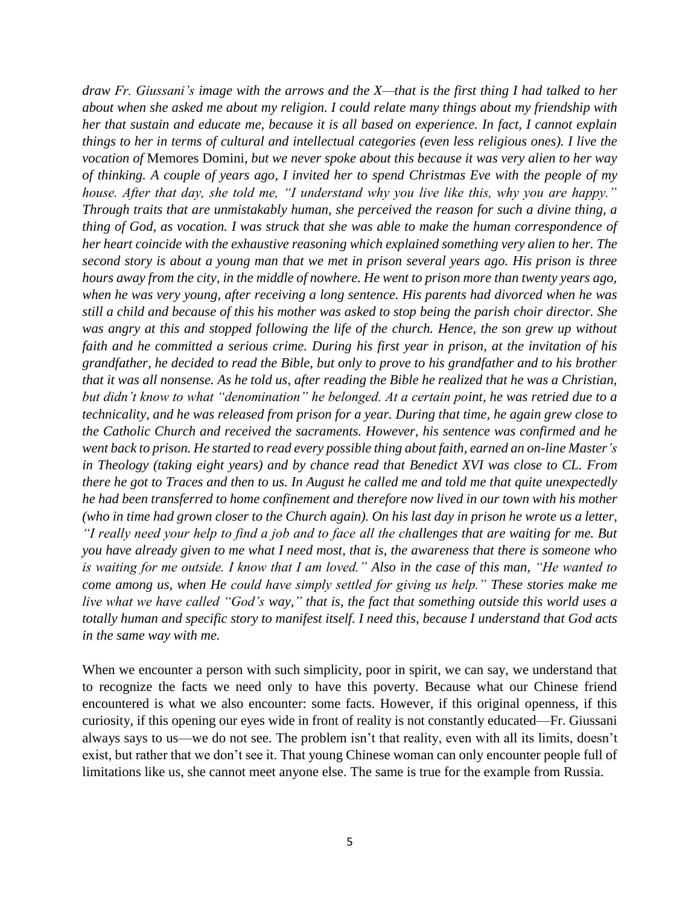*draw Fr. Giussani's image with the arrows and the X—that is the first thing I had talked to her about when she asked me about my religion. I could relate many things about my friendship with her that sustain and educate me, because it is all based on experience. In fact, I cannot explain things to her in terms of cultural and intellectual categories (even less religious ones). I live the vocation of* Memores Domini, *but we never spoke about this because it was very alien to her way of thinking. A couple of years ago, I invited her to spend Christmas Eve with the people of my house. After that day, she told me, "I understand why you live like this, why you are happy." Through traits that are unmistakably human, she perceived the reason for such a divine thing, a thing of God, as vocation. I was struck that she was able to make the human correspondence of her heart coincide with the exhaustive reasoning which explained something very alien to her. The second story is about a young man that we met in prison several years ago. His prison is three hours away from the city, in the middle of nowhere. He went to prison more than twenty years ago, when he was very young, after receiving a long sentence. His parents had divorced when he was still a child and because of this his mother was asked to stop being the parish choir director. She was angry at this and stopped following the life of the church. Hence, the son grew up without faith and he committed a serious crime. During his first year in prison, at the invitation of his grandfather, he decided to read the Bible, but only to prove to his grandfather and to his brother that it was all nonsense. As he told us, after reading the Bible he realized that he was a Christian, but didn't know to what "denomination" he belonged. At a certain point, he was retried due to a technicality, and he was released from prison for a year. During that time, he again grew close to the Catholic Church and received the sacraments. However, his sentence was confirmed and he went back to prison. He started to read every possible thing about faith, earned an on-line Master's in Theology (taking eight years) and by chance read that Benedict XVI was close to CL. From there he got to Traces and then to us. In August he called me and told me that quite unexpectedly he had been transferred to home confinement and therefore now lived in our town with his mother (who in time had grown closer to the Church again). On his last day in prison he wrote us a letter, "I really need your help to find a job and to face all the challenges that are waiting for me. But you have already given to me what I need most, that is, the awareness that there is someone who is waiting for me outside. I know that I am loved." Also in the case of this man, "He wanted to come among us, when He could have simply settled for giving us help." These stories make me live what we have called "God's way," that is, the fact that something outside this world uses a totally human and specific story to manifest itself. I need this, because I understand that God acts in the same way with me.*

When we encounter a person with such simplicity, poor in spirit, we can say, we understand that to recognize the facts we need only to have this poverty. Because what our Chinese friend encountered is what we also encounter: some facts. However, if this original openness, if this curiosity, if this opening our eyes wide in front of reality is not constantly educated—Fr. Giussani always says to us—we do not see. The problem isn't that reality, even with all its limits, doesn't exist, but rather that we don't see it. That young Chinese woman can only encounter people full of limitations like us, she cannot meet anyone else. The same is true for the example from Russia.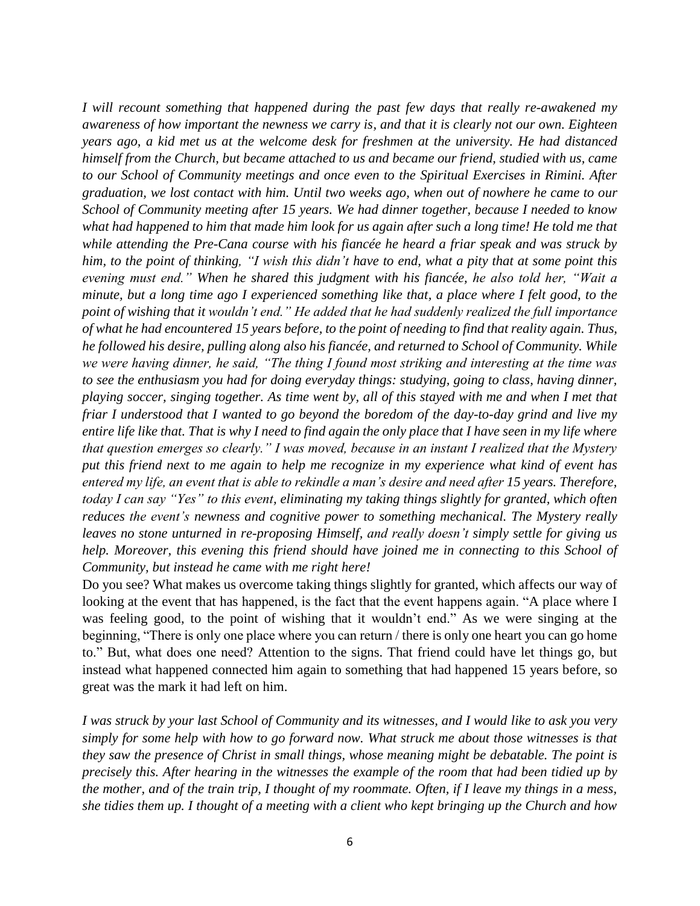*I will recount something that happened during the past few days that really re-awakened my awareness of how important the newness we carry is, and that it is clearly not our own. Eighteen years ago, a kid met us at the welcome desk for freshmen at the university. He had distanced himself from the Church, but became attached to us and became our friend, studied with us, came to our School of Community meetings and once even to the Spiritual Exercises in Rimini. After graduation, we lost contact with him. Until two weeks ago, when out of nowhere he came to our School of Community meeting after 15 years. We had dinner together, because I needed to know what had happened to him that made him look for us again after such a long time! He told me that while attending the Pre-Cana course with his fiancée he heard a friar speak and was struck by him, to the point of thinking, "I wish this didn't have to end, what a pity that at some point this evening must end." When he shared this judgment with his fiancée, he also told her, "Wait a minute, but a long time ago I experienced something like that, a place where I felt good, to the point of wishing that it wouldn't end." He added that he had suddenly realized the full importance of what he had encountered 15 years before, to the point of needing to find that reality again. Thus, he followed his desire, pulling along also his fiancée, and returned to School of Community. While we were having dinner, he said, "The thing I found most striking and interesting at the time was to see the enthusiasm you had for doing everyday things: studying, going to class, having dinner, playing soccer, singing together. As time went by, all of this stayed with me and when I met that friar I understood that I wanted to go beyond the boredom of the day-to-day grind and live my entire life like that. That is why I need to find again the only place that I have seen in my life where that question emerges so clearly." I was moved, because in an instant I realized that the Mystery put this friend next to me again to help me recognize in my experience what kind of event has entered my life, an event that is able to rekindle a man's desire and need after 15 years. Therefore, today I can say "Yes" to this event, eliminating my taking things slightly for granted, which often reduces the event's newness and cognitive power to something mechanical. The Mystery really leaves no stone unturned in re-proposing Himself, and really doesn't simply settle for giving us help. Moreover, this evening this friend should have joined me in connecting to this School of Community, but instead he came with me right here!*

Do you see? What makes us overcome taking things slightly for granted, which affects our way of looking at the event that has happened, is the fact that the event happens again. "A place where I was feeling good, to the point of wishing that it wouldn't end." As we were singing at the beginning, "There is only one place where you can return / there is only one heart you can go home to." But, what does one need? Attention to the signs. That friend could have let things go, but instead what happened connected him again to something that had happened 15 years before, so great was the mark it had left on him.

*I was struck by your last School of Community and its witnesses, and I would like to ask you very simply for some help with how to go forward now. What struck me about those witnesses is that they saw the presence of Christ in small things, whose meaning might be debatable. The point is precisely this. After hearing in the witnesses the example of the room that had been tidied up by the mother, and of the train trip, I thought of my roommate. Often, if I leave my things in a mess, she tidies them up. I thought of a meeting with a client who kept bringing up the Church and how*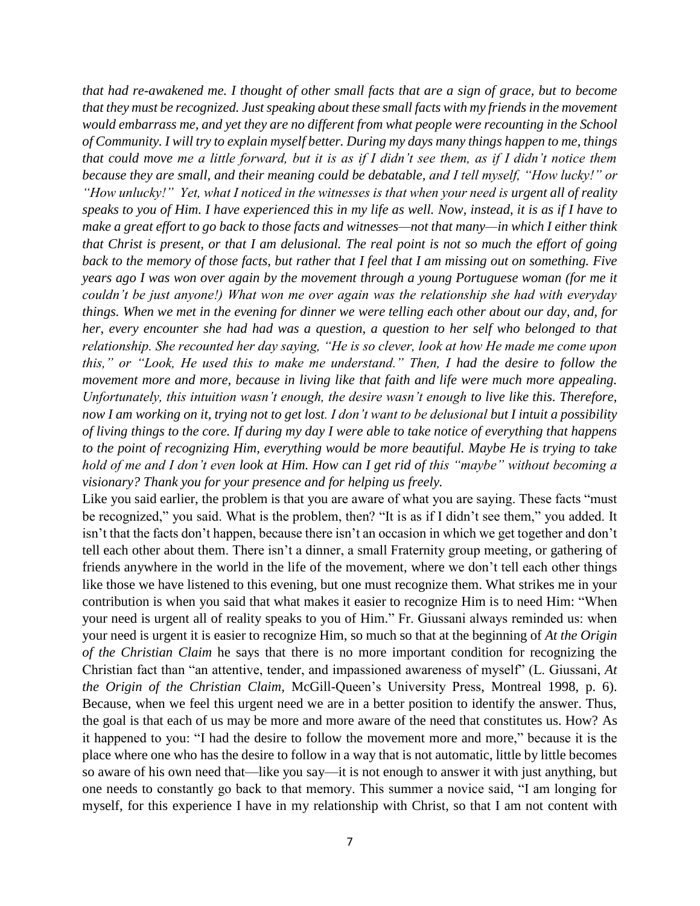*that had re-awakened me. I thought of other small facts that are a sign of grace, but to become that they must be recognized. Just speaking about these small facts with my friends in the movement would embarrass me, and yet they are no different from what people were recounting in the School of Community. I will try to explain myself better. During my days many things happen to me, things that could move me a little forward, but it is as if I didn't see them, as if I didn't notice them because they are small, and their meaning could be debatable, and I tell myself, "How lucky!" or "How unlucky!" Yet, what I noticed in the witnesses is that when your need is urgent all of reality speaks to you of Him. I have experienced this in my life as well. Now, instead, it is as if I have to make a great effort to go back to those facts and witnesses—not that many—in which I either think that Christ is present, or that I am delusional. The real point is not so much the effort of going back to the memory of those facts, but rather that I feel that I am missing out on something. Five years ago I was won over again by the movement through a young Portuguese woman (for me it couldn't be just anyone!) What won me over again was the relationship she had with everyday things. When we met in the evening for dinner we were telling each other about our day, and, for her, every encounter she had had was a question, a question to her self who belonged to that relationship. She recounted her day saying, "He is so clever, look at how He made me come upon this," or "Look, He used this to make me understand." Then, I had the desire to follow the movement more and more, because in living like that faith and life were much more appealing. Unfortunately, this intuition wasn't enough, the desire wasn't enough to live like this. Therefore, now I am working on it, trying not to get lost. I don't want to be delusional but I intuit a possibility of living things to the core. If during my day I were able to take notice of everything that happens to the point of recognizing Him, everything would be more beautiful. Maybe He is trying to take hold of me and I don't even look at Him. How can I get rid of this "maybe" without becoming a visionary? Thank you for your presence and for helping us freely.*

Like you said earlier, the problem is that you are aware of what you are saying. These facts "must be recognized," you said. What is the problem, then? "It is as if I didn't see them," you added. It isn't that the facts don't happen, because there isn't an occasion in which we get together and don't tell each other about them. There isn't a dinner, a small Fraternity group meeting, or gathering of friends anywhere in the world in the life of the movement, where we don't tell each other things like those we have listened to this evening, but one must recognize them. What strikes me in your contribution is when you said that what makes it easier to recognize Him is to need Him: "When your need is urgent all of reality speaks to you of Him." Fr. Giussani always reminded us: when your need is urgent it is easier to recognize Him, so much so that at the beginning of *At the Origin of the Christian Claim* he says that there is no more important condition for recognizing the Christian fact than "an attentive, tender, and impassioned awareness of myself" (L. Giussani, *At the Origin of the Christian Claim,* McGill-Queen's University Press, Montreal 1998, p. 6). Because, when we feel this urgent need we are in a better position to identify the answer. Thus, the goal is that each of us may be more and more aware of the need that constitutes us. How? As it happened to you: "I had the desire to follow the movement more and more," because it is the place where one who has the desire to follow in a way that is not automatic, little by little becomes so aware of his own need that—like you say—it is not enough to answer it with just anything, but one needs to constantly go back to that memory. This summer a novice said, "I am longing for myself, for this experience I have in my relationship with Christ, so that I am not content with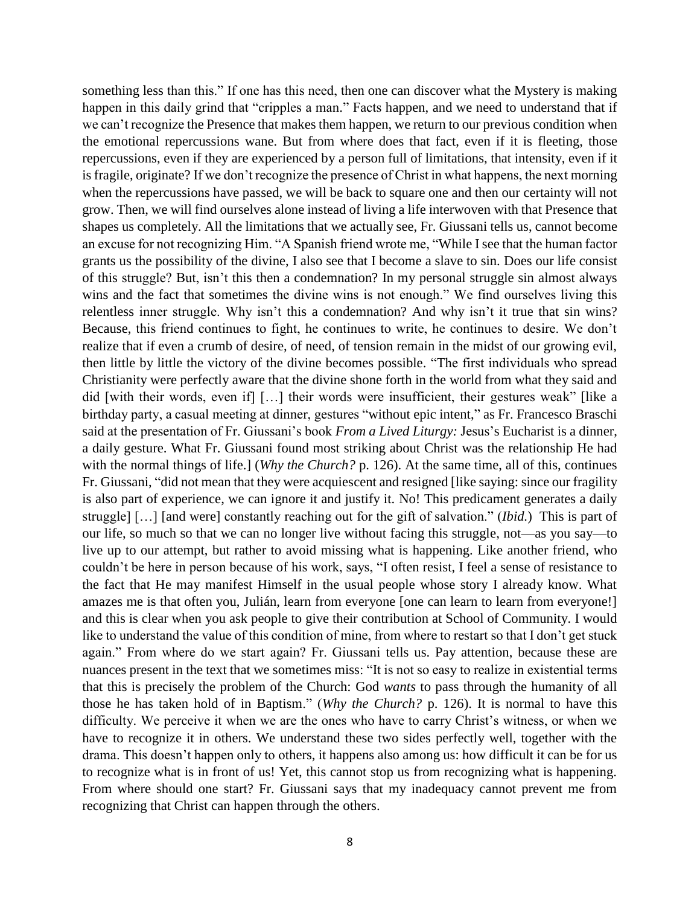something less than this." If one has this need, then one can discover what the Mystery is making happen in this daily grind that "cripples a man." Facts happen, and we need to understand that if we can't recognize the Presence that makes them happen, we return to our previous condition when the emotional repercussions wane. But from where does that fact, even if it is fleeting, those repercussions, even if they are experienced by a person full of limitations, that intensity, even if it is fragile, originate? If we don't recognize the presence of Christ in what happens, the next morning when the repercussions have passed, we will be back to square one and then our certainty will not grow. Then, we will find ourselves alone instead of living a life interwoven with that Presence that shapes us completely. All the limitations that we actually see, Fr. Giussani tells us, cannot become an excuse for not recognizing Him. "A Spanish friend wrote me, "While I see that the human factor grants us the possibility of the divine, I also see that I become a slave to sin. Does our life consist of this struggle? But, isn't this then a condemnation? In my personal struggle sin almost always wins and the fact that sometimes the divine wins is not enough." We find ourselves living this relentless inner struggle. Why isn't this a condemnation? And why isn't it true that sin wins? Because, this friend continues to fight, he continues to write, he continues to desire. We don't realize that if even a crumb of desire, of need, of tension remain in the midst of our growing evil, then little by little the victory of the divine becomes possible. "The first individuals who spread Christianity were perfectly aware that the divine shone forth in the world from what they said and did [with their words, even if] […] their words were insufficient, their gestures weak" [like a birthday party, a casual meeting at dinner, gestures "without epic intent," as Fr. Francesco Braschi said at the presentation of Fr. Giussani's book *From a Lived Liturgy:* Jesus's Eucharist is a dinner, a daily gesture. What Fr. Giussani found most striking about Christ was the relationship He had with the normal things of life.] (*Why the Church?* p. 126). At the same time, all of this, continues Fr. Giussani, "did not mean that they were acquiescent and resigned [like saying: since our fragility is also part of experience, we can ignore it and justify it. No! This predicament generates a daily struggle] […] [and were] constantly reaching out for the gift of salvation." (*Ibid.*) This is part of our life, so much so that we can no longer live without facing this struggle, not—as you say—to live up to our attempt, but rather to avoid missing what is happening. Like another friend, who couldn't be here in person because of his work, says, "I often resist, I feel a sense of resistance to the fact that He may manifest Himself in the usual people whose story I already know. What amazes me is that often you, Julián, learn from everyone [one can learn to learn from everyone!] and this is clear when you ask people to give their contribution at School of Community. I would like to understand the value of this condition of mine, from where to restart so that I don't get stuck again." From where do we start again? Fr. Giussani tells us. Pay attention, because these are nuances present in the text that we sometimes miss: "It is not so easy to realize in existential terms that this is precisely the problem of the Church: God *wants* to pass through the humanity of all those he has taken hold of in Baptism." (*Why the Church?* p. 126). It is normal to have this difficulty. We perceive it when we are the ones who have to carry Christ's witness, or when we have to recognize it in others. We understand these two sides perfectly well, together with the drama. This doesn't happen only to others, it happens also among us: how difficult it can be for us to recognize what is in front of us! Yet, this cannot stop us from recognizing what is happening. From where should one start? Fr. Giussani says that my inadequacy cannot prevent me from recognizing that Christ can happen through the others.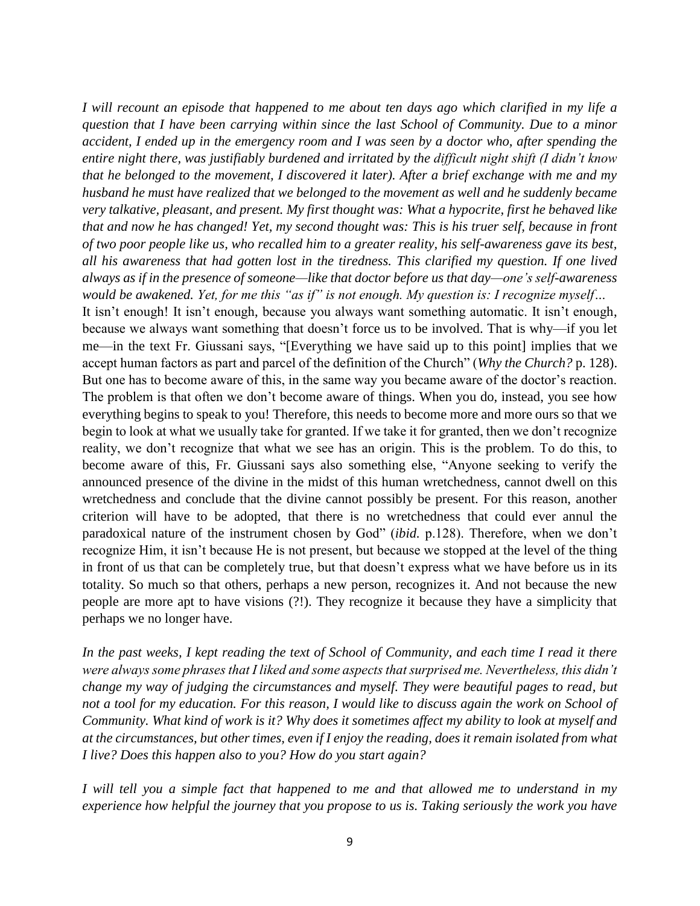*I will recount an episode that happened to me about ten days ago which clarified in my life a question that I have been carrying within since the last School of Community. Due to a minor accident, I ended up in the emergency room and I was seen by a doctor who, after spending the entire night there, was justifiably burdened and irritated by the difficult night shift (I didn't know that he belonged to the movement, I discovered it later). After a brief exchange with me and my husband he must have realized that we belonged to the movement as well and he suddenly became very talkative, pleasant, and present. My first thought was: What a hypocrite, first he behaved like that and now he has changed! Yet, my second thought was: This is his truer self, because in front of two poor people like us, who recalled him to a greater reality, his self-awareness gave its best, all his awareness that had gotten lost in the tiredness. This clarified my question. If one lived always as if in the presence of someone—like that doctor before us that day—one's self-awareness would be awakened. Yet, for me this "as if" is not enough. My question is: I recognize myself…*

It isn't enough! It isn't enough, because you always want something automatic. It isn't enough, because we always want something that doesn't force us to be involved. That is why—if you let me—in the text Fr. Giussani says, "[Everything we have said up to this point] implies that we accept human factors as part and parcel of the definition of the Church" (*Why the Church?* p. 128). But one has to become aware of this, in the same way you became aware of the doctor's reaction. The problem is that often we don't become aware of things. When you do, instead, you see how everything begins to speak to you! Therefore, this needs to become more and more ours so that we begin to look at what we usually take for granted. If we take it for granted, then we don't recognize reality, we don't recognize that what we see has an origin. This is the problem. To do this, to become aware of this, Fr. Giussani says also something else, "Anyone seeking to verify the announced presence of the divine in the midst of this human wretchedness, cannot dwell on this wretchedness and conclude that the divine cannot possibly be present. For this reason, another criterion will have to be adopted, that there is no wretchedness that could ever annul the paradoxical nature of the instrument chosen by God" (*ibid.* p.128). Therefore, when we don't recognize Him, it isn't because He is not present, but because we stopped at the level of the thing in front of us that can be completely true, but that doesn't express what we have before us in its totality. So much so that others, perhaps a new person, recognizes it. And not because the new people are more apt to have visions (?!). They recognize it because they have a simplicity that perhaps we no longer have.

*In the past weeks, I kept reading the text of School of Community, and each time I read it there were always some phrases that I liked and some aspects that surprised me. Nevertheless, this didn't change my way of judging the circumstances and myself. They were beautiful pages to read, but not a tool for my education. For this reason, I would like to discuss again the work on School of Community. What kind of work is it? Why does it sometimes affect my ability to look at myself and at the circumstances, but other times, even if I enjoy the reading, does it remain isolated from what I live? Does this happen also to you? How do you start again?*

*I will tell you a simple fact that happened to me and that allowed me to understand in my experience how helpful the journey that you propose to us is. Taking seriously the work you have*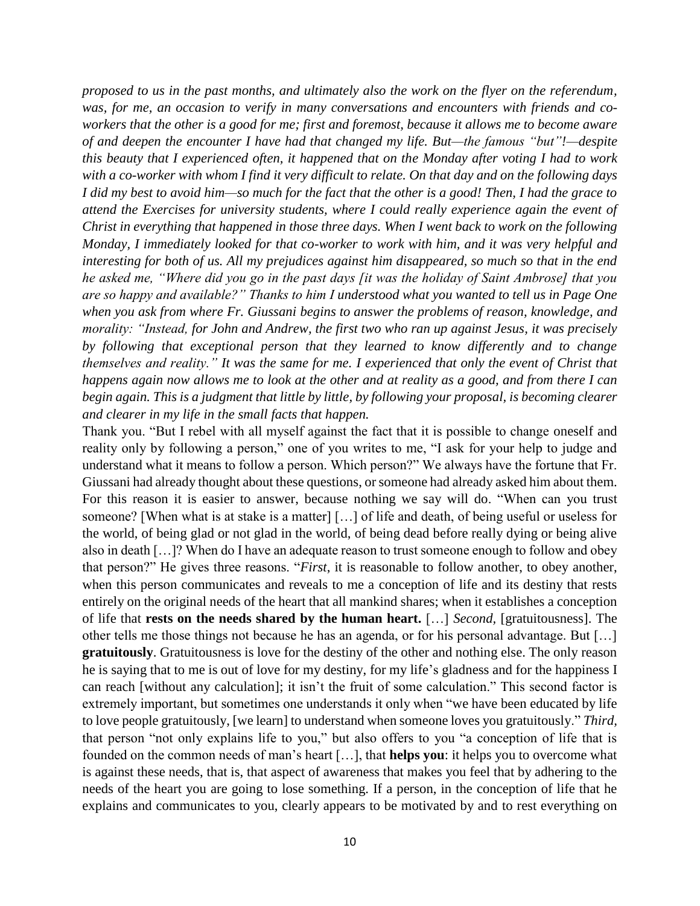*proposed to us in the past months, and ultimately also the work on the flyer on the referendum, was, for me, an occasion to verify in many conversations and encounters with friends and coworkers that the other is a good for me; first and foremost, because it allows me to become aware of and deepen the encounter I have had that changed my life. But—the famous "but"!—despite this beauty that I experienced often, it happened that on the Monday after voting I had to work with a co-worker with whom I find it very difficult to relate. On that day and on the following days I did my best to avoid him—so much for the fact that the other is a good! Then, I had the grace to attend the Exercises for university students, where I could really experience again the event of Christ in everything that happened in those three days. When I went back to work on the following Monday, I immediately looked for that co-worker to work with him, and it was very helpful and interesting for both of us. All my prejudices against him disappeared, so much so that in the end he asked me, "Where did you go in the past days [it was the holiday of Saint Ambrose] that you are so happy and available?" Thanks to him I understood what you wanted to tell us in Page One when you ask from where Fr. Giussani begins to answer the problems of reason, knowledge, and morality: "Instead, for John and Andrew, the first two who ran up against Jesus, it was precisely by following that exceptional person that they learned to know differently and to change themselves and reality." It was the same for me. I experienced that only the event of Christ that happens again now allows me to look at the other and at reality as a good, and from there I can begin again. This is a judgment that little by little, by following your proposal, is becoming clearer and clearer in my life in the small facts that happen.*

Thank you. "But I rebel with all myself against the fact that it is possible to change oneself and reality only by following a person," one of you writes to me, "I ask for your help to judge and understand what it means to follow a person. Which person?" We always have the fortune that Fr. Giussani had already thought about these questions, or someone had already asked him about them. For this reason it is easier to answer, because nothing we say will do. "When can you trust someone? [When what is at stake is a matter] […] of life and death, of being useful or useless for the world, of being glad or not glad in the world, of being dead before really dying or being alive also in death […]? When do I have an adequate reason to trust someone enough to follow and obey that person?" He gives three reasons. "*First*, it is reasonable to follow another, to obey another, when this person communicates and reveals to me a conception of life and its destiny that rests entirely on the original needs of the heart that all mankind shares; when it establishes a conception of life that **rests on the needs shared by the human heart.** […] *Second,* [gratuitousness]. The other tells me those things not because he has an agenda, or for his personal advantage. But […] **gratuitously**. Gratuitousness is love for the destiny of the other and nothing else. The only reason he is saying that to me is out of love for my destiny, for my life's gladness and for the happiness I can reach [without any calculation]; it isn't the fruit of some calculation." This second factor is extremely important, but sometimes one understands it only when "we have been educated by life to love people gratuitously, [we learn] to understand when someone loves you gratuitously." *Third,*  that person "not only explains life to you," but also offers to you "a conception of life that is founded on the common needs of man's heart […], that **helps you**: it helps you to overcome what is against these needs, that is, that aspect of awareness that makes you feel that by adhering to the needs of the heart you are going to lose something. If a person, in the conception of life that he explains and communicates to you, clearly appears to be motivated by and to rest everything on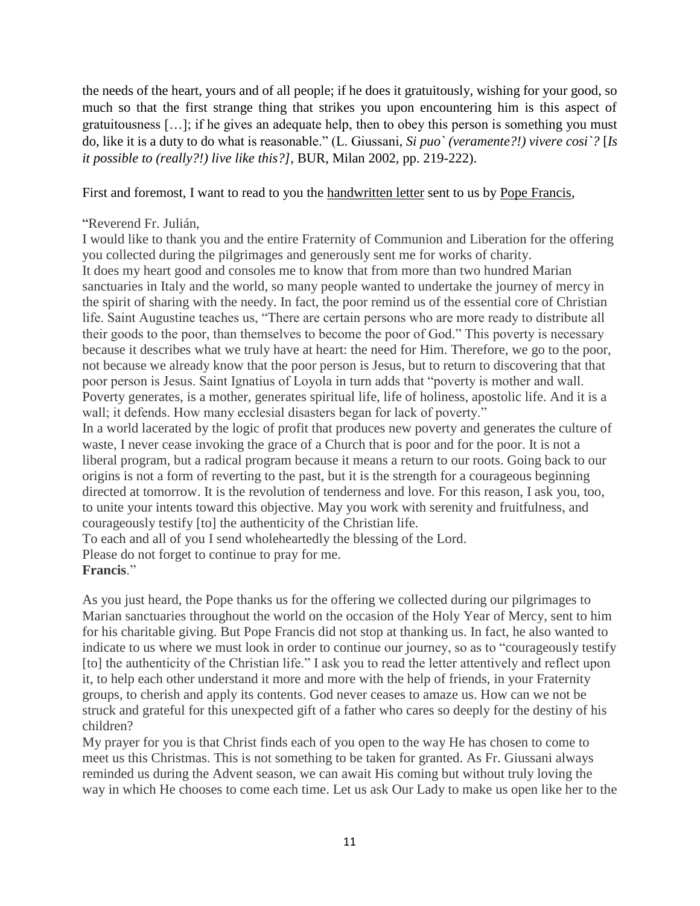the needs of the heart, yours and of all people; if he does it gratuitously, wishing for your good, so much so that the first strange thing that strikes you upon encountering him is this aspect of gratuitousness […]; if he gives an adequate help, then to obey this person is something you must do, like it is a duty to do what is reasonable." (L. Giussani, *Si puo` (veramente?!) vivere cosi`?* [*Is it possible to (really?!) live like this?],* BUR, Milan 2002, pp. 219-222).

# First and foremost, I want to read to you the handwritten letter sent to us by Pope Francis,

### "Reverend Fr. Julián,

I would like to thank you and the entire Fraternity of Communion and Liberation for the offering you collected during the pilgrimages and generously sent me for works of charity. It does my heart good and consoles me to know that from more than two hundred Marian sanctuaries in Italy and the world, so many people wanted to undertake the journey of mercy in the spirit of sharing with the needy. In fact, the poor remind us of the essential core of Christian life. Saint Augustine teaches us, "There are certain persons who are more ready to distribute all their goods to the poor, than themselves to become the poor of God." This poverty is necessary because it describes what we truly have at heart: the need for Him. Therefore, we go to the poor, not because we already know that the poor person is Jesus, but to return to discovering that that poor person is Jesus. Saint Ignatius of Loyola in turn adds that "poverty is mother and wall. Poverty generates, is a mother, generates spiritual life, life of holiness, apostolic life. And it is a wall; it defends. How many ecclesial disasters began for lack of poverty."

In a world lacerated by the logic of profit that produces new poverty and generates the culture of waste, I never cease invoking the grace of a Church that is poor and for the poor. It is not a liberal program, but a radical program because it means a return to our roots. Going back to our origins is not a form of reverting to the past, but it is the strength for a courageous beginning directed at tomorrow. It is the revolution of tenderness and love. For this reason, I ask you, too, to unite your intents toward this objective. May you work with serenity and fruitfulness, and courageously testify [to] the authenticity of the Christian life.

To each and all of you I send wholeheartedly the blessing of the Lord.

Please do not forget to continue to pray for me.

### **Francis**."

As you just heard, the Pope thanks us for the offering we collected during our pilgrimages to Marian sanctuaries throughout the world on the occasion of the Holy Year of Mercy, sent to him for his charitable giving. But Pope Francis did not stop at thanking us. In fact, he also wanted to indicate to us where we must look in order to continue our journey, so as to "courageously testify [to] the authenticity of the Christian life." I ask you to read the letter attentively and reflect upon it, to help each other understand it more and more with the help of friends, in your Fraternity groups, to cherish and apply its contents. God never ceases to amaze us. How can we not be struck and grateful for this unexpected gift of a father who cares so deeply for the destiny of his children?

My prayer for you is that Christ finds each of you open to the way He has chosen to come to meet us this Christmas. This is not something to be taken for granted. As Fr. Giussani always reminded us during the Advent season, we can await His coming but without truly loving the way in which He chooses to come each time. Let us ask Our Lady to make us open like her to the